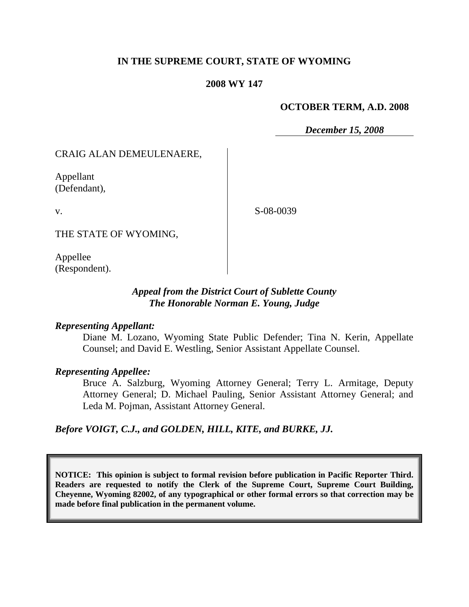# **IN THE SUPREME COURT, STATE OF WYOMING**

### **2008 WY 147**

### **OCTOBER TERM, A.D. 2008**

*December 15, 2008*

### CRAIG ALAN DEMEULENAERE,

Appellant (Defendant),

v.

S-08-0039

THE STATE OF WYOMING,

Appellee (Respondent).

# *Appeal from the District Court of Sublette County The Honorable Norman E. Young, Judge*

### *Representing Appellant:*

Diane M. Lozano, Wyoming State Public Defender; Tina N. Kerin, Appellate Counsel; and David E. Westling, Senior Assistant Appellate Counsel.

### *Representing Appellee:*

Bruce A. Salzburg, Wyoming Attorney General; Terry L. Armitage, Deputy Attorney General; D. Michael Pauling, Senior Assistant Attorney General; and Leda M. Pojman, Assistant Attorney General.

*Before VOIGT, C.J., and GOLDEN, HILL, KITE, and BURKE, JJ.*

**NOTICE: This opinion is subject to formal revision before publication in Pacific Reporter Third. Readers are requested to notify the Clerk of the Supreme Court, Supreme Court Building, Cheyenne, Wyoming 82002, of any typographical or other formal errors so that correction may be made before final publication in the permanent volume.**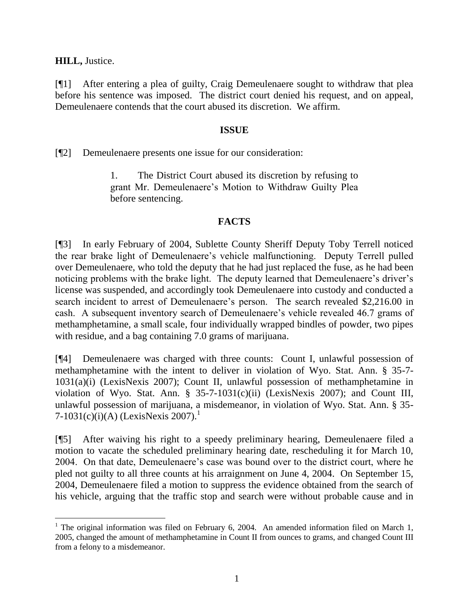**HILL,** Justice.

[¶1] After entering a plea of guilty, Craig Demeulenaere sought to withdraw that plea before his sentence was imposed. The district court denied his request, and on appeal, Demeulenaere contends that the court abused its discretion. We affirm.

# **ISSUE**

[¶2] Demeulenaere presents one issue for our consideration:

1. The District Court abused its discretion by refusing to grant Mr. Demeulenaere's Motion to Withdraw Guilty Plea before sentencing.

### **FACTS**

[¶3] In early February of 2004, Sublette County Sheriff Deputy Toby Terrell noticed the rear brake light of Demeulenaere's vehicle malfunctioning. Deputy Terrell pulled over Demeulenaere, who told the deputy that he had just replaced the fuse, as he had been noticing problems with the brake light. The deputy learned that Demeulenaere's driver's license was suspended, and accordingly took Demeulenaere into custody and conducted a search incident to arrest of Demeulenaere's person. The search revealed \$2,216.00 in cash. A subsequent inventory search of Demeulenaere's vehicle revealed 46.7 grams of methamphetamine, a small scale, four individually wrapped bindles of powder, two pipes with residue, and a bag containing 7.0 grams of marijuana.

[¶4] Demeulenaere was charged with three counts: Count I, unlawful possession of methamphetamine with the intent to deliver in violation of Wyo. Stat. Ann. § 35-7- 1031(a)(i) (LexisNexis 2007); Count II, unlawful possession of methamphetamine in violation of Wyo. Stat. Ann. § 35-7-1031(c)(ii) (LexisNexis 2007); and Count III, unlawful possession of marijuana, a misdemeanor, in violation of Wyo. Stat. Ann. § 35- 7-1031(c)(i)(A) (LexisNexis 2007).<sup>1</sup>

[¶5] After waiving his right to a speedy preliminary hearing, Demeulenaere filed a motion to vacate the scheduled preliminary hearing date, rescheduling it for March 10, 2004. On that date, Demeulenaere's case was bound over to the district court, where he pled not guilty to all three counts at his arraignment on June 4, 2004. On September 15, 2004, Demeulenaere filed a motion to suppress the evidence obtained from the search of his vehicle, arguing that the traffic stop and search were without probable cause and in

<sup>&</sup>lt;sup>1</sup> The original information was filed on February 6, 2004. An amended information filed on March 1, 2005, changed the amount of methamphetamine in Count II from ounces to grams, and changed Count III from a felony to a misdemeanor.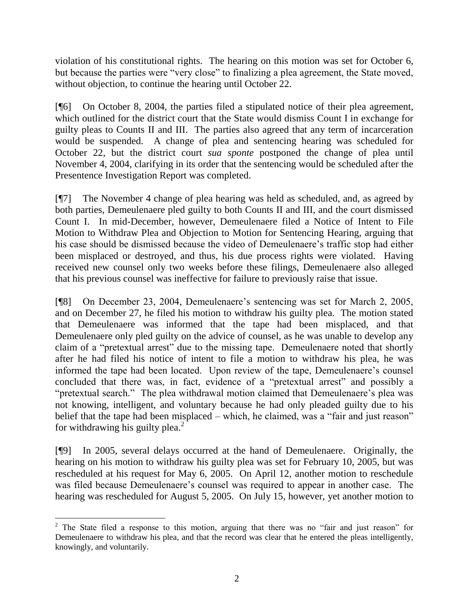violation of his constitutional rights. The hearing on this motion was set for October 6, but because the parties were "very close" to finalizing a plea agreement, the State moved, without objection, to continue the hearing until October 22.

[¶6] On October 8, 2004, the parties filed a stipulated notice of their plea agreement, which outlined for the district court that the State would dismiss Count I in exchange for guilty pleas to Counts II and III. The parties also agreed that any term of incarceration would be suspended. A change of plea and sentencing hearing was scheduled for October 22, but the district court *sua sponte* postponed the change of plea until November 4, 2004, clarifying in its order that the sentencing would be scheduled after the Presentence Investigation Report was completed.

[¶7] The November 4 change of plea hearing was held as scheduled, and, as agreed by both parties, Demeulenaere pled guilty to both Counts II and III, and the court dismissed Count I. In mid-December, however, Demeulenaere filed a Notice of Intent to File Motion to Withdraw Plea and Objection to Motion for Sentencing Hearing, arguing that his case should be dismissed because the video of Demeulenaere's traffic stop had either been misplaced or destroyed, and thus, his due process rights were violated. Having received new counsel only two weeks before these filings, Demeulenaere also alleged that his previous counsel was ineffective for failure to previously raise that issue.

[¶8] On December 23, 2004, Demeulenaere's sentencing was set for March 2, 2005, and on December 27, he filed his motion to withdraw his guilty plea. The motion stated that Demeulenaere was informed that the tape had been misplaced, and that Demeulenaere only pled guilty on the advice of counsel, as he was unable to develop any claim of a "pretextual arrest" due to the missing tape. Demeulenaere noted that shortly after he had filed his notice of intent to file a motion to withdraw his plea, he was informed the tape had been located. Upon review of the tape, Demeulenaere's counsel concluded that there was, in fact, evidence of a "pretextual arrest" and possibly a "pretextual search." The plea withdrawal motion claimed that Demeulenaere's plea was not knowing, intelligent, and voluntary because he had only pleaded guilty due to his belief that the tape had been misplaced – which, he claimed, was a "fair and just reason" for withdrawing his guilty plea. $^{2}$ 

[¶9] In 2005, several delays occurred at the hand of Demeulenaere. Originally, the hearing on his motion to withdraw his guilty plea was set for February 10, 2005, but was rescheduled at his request for May 6, 2005. On April 12, another motion to reschedule was filed because Demeulenaere's counsel was required to appear in another case. The hearing was rescheduled for August 5, 2005. On July 15, however, yet another motion to

 <sup>2</sup> The State filed a response to this motion, arguing that there was no "fair and just reason" for Demeulenaere to withdraw his plea, and that the record was clear that he entered the pleas intelligently, knowingly, and voluntarily.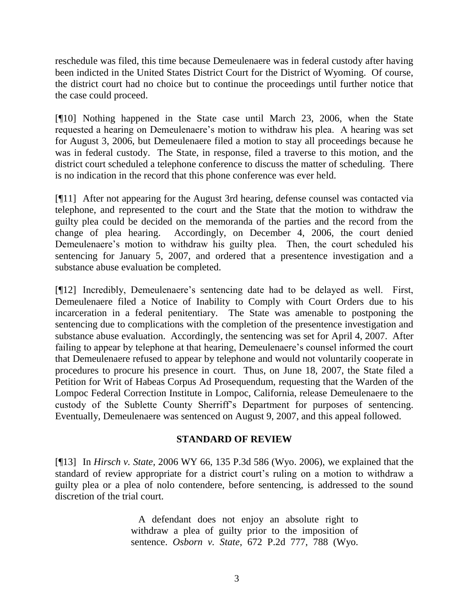reschedule was filed, this time because Demeulenaere was in federal custody after having been indicted in the United States District Court for the District of Wyoming. Of course, the district court had no choice but to continue the proceedings until further notice that the case could proceed.

[¶10] Nothing happened in the State case until March 23, 2006, when the State requested a hearing on Demeulenaere's motion to withdraw his plea. A hearing was set for August 3, 2006, but Demeulenaere filed a motion to stay all proceedings because he was in federal custody. The State, in response, filed a traverse to this motion, and the district court scheduled a telephone conference to discuss the matter of scheduling. There is no indication in the record that this phone conference was ever held.

[¶11] After not appearing for the August 3rd hearing, defense counsel was contacted via telephone, and represented to the court and the State that the motion to withdraw the guilty plea could be decided on the memoranda of the parties and the record from the change of plea hearing. Accordingly, on December 4, 2006, the court denied Demeulenaere's motion to withdraw his guilty plea. Then, the court scheduled his sentencing for January 5, 2007, and ordered that a presentence investigation and a substance abuse evaluation be completed.

[¶12] Incredibly, Demeulenaere's sentencing date had to be delayed as well. First, Demeulenaere filed a Notice of Inability to Comply with Court Orders due to his incarceration in a federal penitentiary. The State was amenable to postponing the sentencing due to complications with the completion of the presentence investigation and substance abuse evaluation. Accordingly, the sentencing was set for April 4, 2007. After failing to appear by telephone at that hearing, Demeulenaere's counsel informed the court that Demeulenaere refused to appear by telephone and would not voluntarily cooperate in procedures to procure his presence in court. Thus, on June 18, 2007, the State filed a Petition for Writ of Habeas Corpus Ad Prosequendum, requesting that the Warden of the Lompoc Federal Correction Institute in Lompoc, California, release Demeulenaere to the custody of the Sublette County Sherriff's Department for purposes of sentencing. Eventually, Demeulenaere was sentenced on August 9, 2007, and this appeal followed.

# **STANDARD OF REVIEW**

[¶13] In *Hirsch v. State,* 2006 WY 66, 135 P.3d 586 (Wyo. 2006), we explained that the standard of review appropriate for a district court's ruling on a motion to withdraw a guilty plea or a plea of nolo contendere, before sentencing, is addressed to the sound discretion of the trial court.

> A defendant does not enjoy an absolute right to withdraw a plea of guilty prior to the imposition of sentence. *Osborn v. State*, 672 P.2d 777, 788 (Wyo.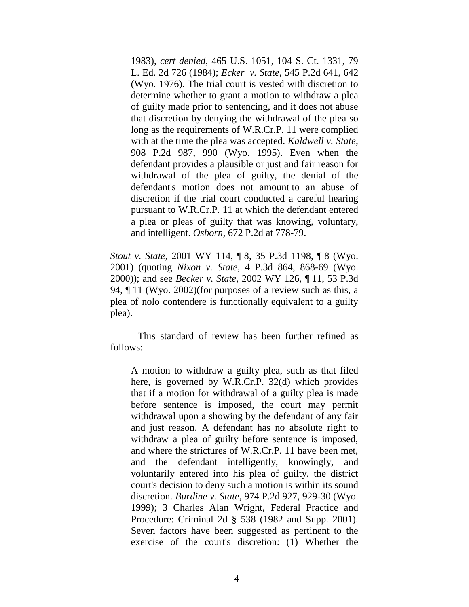1983), *cert denied*, 465 U.S. 1051, 104 S. Ct. 1331, 79 L. Ed. 2d 726 (1984); *Ecker v. State*, 545 P.2d 641, 642 (Wyo. 1976). The trial court is vested with discretion to determine whether to grant a motion to withdraw a plea of guilty made prior to sentencing, and it does not abuse that discretion by denying the withdrawal of the plea so long as the requirements of W.R.Cr.P. 11 were complied with at the time the plea was accepted. *Kaldwell v. State*, 908 P.2d 987, 990 (Wyo. 1995). Even when the defendant provides a plausible or just and fair reason for withdrawal of the plea of guilty, the denial of the defendant's motion does not amount to an abuse of discretion if the trial court conducted a careful hearing pursuant to W.R.Cr.P. 11 at which the defendant entered a plea or pleas of guilty that was knowing, voluntary, and intelligent. *Osborn*, 672 P.2d at 778-79.

*Stout v. State*, 2001 WY 114, ¶ 8, 35 P.3d 1198, ¶ 8 (Wyo. 2001) (quoting *Nixon v. State*, 4 P.3d 864, 868-69 (Wyo. 2000)); and see *Becker v. State*, 2002 WY 126, ¶ 11, 53 P.3d 94, ¶ 11 (Wyo. 2002)(for purposes of a review such as this, a plea of nolo contendere is functionally equivalent to a guilty plea).

This standard of review has been further refined as follows:

A motion to withdraw a guilty plea, such as that filed here, is governed by W.R.Cr.P. 32(d) which provides that if a motion for withdrawal of a guilty plea is made before sentence is imposed, the court may permit withdrawal upon a showing by the defendant of any fair and just reason. A defendant has no absolute right to withdraw a plea of guilty before sentence is imposed, and where the strictures of W.R.Cr.P. 11 have been met, and the defendant intelligently, knowingly, and voluntarily entered into his plea of guilty, the district court's decision to deny such a motion is within its sound discretion. *Burdine v. State*, 974 P.2d 927, 929-30 (Wyo. 1999); 3 Charles Alan Wright, Federal Practice and Procedure: Criminal 2d § 538 (1982 and Supp. 2001). Seven factors have been suggested as pertinent to the exercise of the court's discretion: (1) Whether the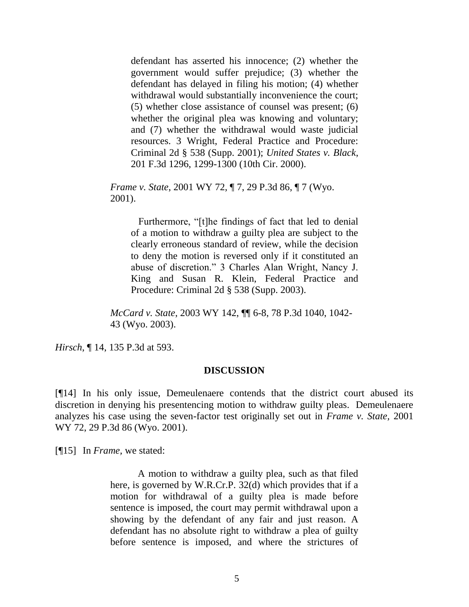defendant has asserted his innocence; (2) whether the government would suffer prejudice; (3) whether the defendant has delayed in filing his motion; (4) whether withdrawal would substantially inconvenience the court; (5) whether close assistance of counsel was present; (6) whether the original plea was knowing and voluntary; and (7) whether the withdrawal would waste judicial resources. 3 Wright, Federal Practice and Procedure: Criminal 2d § 538 (Supp. 2001); *United States v. Black*, 201 F.3d 1296, 1299-1300 (10th Cir. 2000).

*Frame v. State*, 2001 WY 72, ¶ 7, 29 P.3d 86, ¶ 7 (Wyo. 2001).

 Furthermore, "[t]he findings of fact that led to denial of a motion to withdraw a guilty plea are subject to the clearly erroneous standard of review, while the decision to deny the motion is reversed only if it constituted an abuse of discretion." 3 Charles Alan Wright, Nancy J. King and Susan R. Klein, Federal Practice and Procedure: Criminal 2d § 538 (Supp. 2003).

*McCard v. State*, 2003 WY 142, ¶¶ 6-8, 78 P.3d 1040, 1042- 43 (Wyo. 2003).

*Hirsch*, ¶ 14, 135 P.3d at 593.

#### **DISCUSSION**

[¶14] In his only issue, Demeulenaere contends that the district court abused its discretion in denying his presentencing motion to withdraw guilty pleas. Demeulenaere analyzes his case using the seven-factor test originally set out in *Frame v. State,* 2001 WY 72, 29 P.3d 86 (Wyo. 2001).

[¶15] In *Frame,* we stated:

A motion to withdraw a guilty plea, such as that filed here, is governed by W.R.Cr.P. 32(d) which provides that if a motion for withdrawal of a guilty plea is made before sentence is imposed, the court may permit withdrawal upon a showing by the defendant of any fair and just reason. A defendant has no absolute right to withdraw a plea of guilty before sentence is imposed, and where the strictures of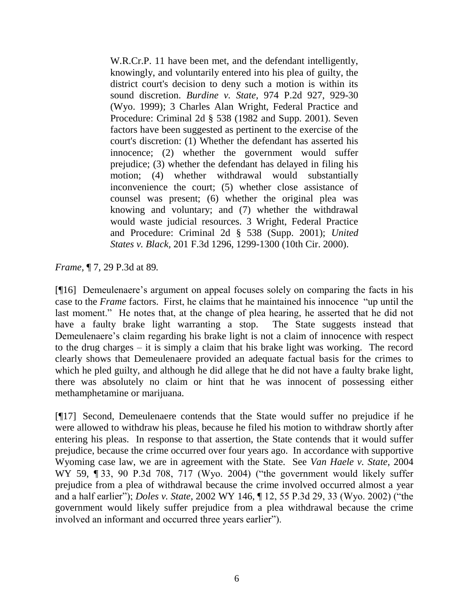W.R.Cr.P. 11 have been met, and the defendant intelligently, knowingly, and voluntarily entered into his plea of guilty, the district court's decision to deny such a motion is within its sound discretion. *Burdine v. State,* 974 P.2d 927, 929-30 (Wyo. 1999); 3 Charles Alan Wright, Federal Practice and Procedure: Criminal 2d § 538 (1982 and Supp. 2001). Seven factors have been suggested as pertinent to the exercise of the court's discretion: (1) Whether the defendant has asserted his innocence; (2) whether the government would suffer prejudice; (3) whether the defendant has delayed in filing his motion; (4) whether withdrawal would substantially inconvenience the court; (5) whether close assistance of counsel was present; (6) whether the original plea was knowing and voluntary; and (7) whether the withdrawal would waste judicial resources. 3 Wright, Federal Practice and Procedure: Criminal 2d § 538 (Supp. 2001); *United States v. Black,* 201 F.3d 1296, 1299-1300 (10th Cir. 2000).

*Frame,* ¶ 7, 29 P.3d at 89*.*

[¶16] Demeulenaere's argument on appeal focuses solely on comparing the facts in his case to the *Frame* factors. First, he claims that he maintained his innocence "up until the last moment." He notes that, at the change of plea hearing, he asserted that he did not have a faulty brake light warranting a stop. The State suggests instead that Demeulenaere's claim regarding his brake light is not a claim of innocence with respect to the drug charges – it is simply a claim that his brake light was working. The record clearly shows that Demeulenaere provided an adequate factual basis for the crimes to which he pled guilty, and although he did allege that he did not have a faulty brake light, there was absolutely no claim or hint that he was innocent of possessing either methamphetamine or marijuana.

[¶17] Second, Demeulenaere contends that the State would suffer no prejudice if he were allowed to withdraw his pleas, because he filed his motion to withdraw shortly after entering his pleas. In response to that assertion, the State contends that it would suffer prejudice, because the crime occurred over four years ago. In accordance with supportive Wyoming case law, we are in agreement with the State. See *Van Haele v. State,* 2004 WY 59, ¶ 33, 90 P.3d 708, 717 (Wyo. 2004) ("the government would likely suffer prejudice from a plea of withdrawal because the crime involved occurred almost a year and a half earlier"); *Doles v. State,* 2002 WY 146, ¶ 12, 55 P.3d 29, 33 (Wyo. 2002) ("the government would likely suffer prejudice from a plea withdrawal because the crime involved an informant and occurred three years earlier").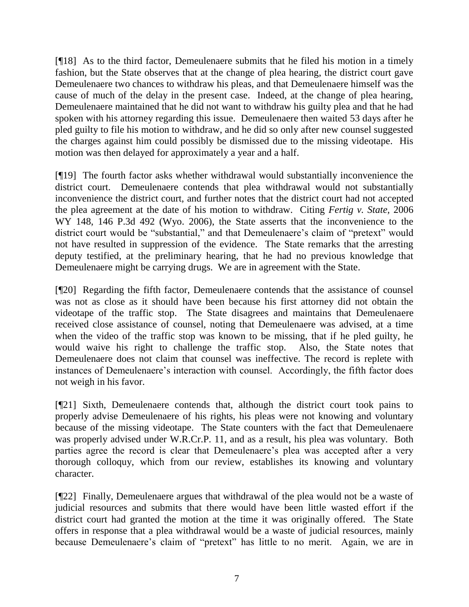[¶18] As to the third factor, Demeulenaere submits that he filed his motion in a timely fashion, but the State observes that at the change of plea hearing, the district court gave Demeulenaere two chances to withdraw his pleas, and that Demeulenaere himself was the cause of much of the delay in the present case. Indeed, at the change of plea hearing, Demeulenaere maintained that he did not want to withdraw his guilty plea and that he had spoken with his attorney regarding this issue. Demeulenaere then waited 53 days after he pled guilty to file his motion to withdraw, and he did so only after new counsel suggested the charges against him could possibly be dismissed due to the missing videotape. His motion was then delayed for approximately a year and a half.

[¶19] The fourth factor asks whether withdrawal would substantially inconvenience the district court. Demeulenaere contends that plea withdrawal would not substantially inconvenience the district court, and further notes that the district court had not accepted the plea agreement at the date of his motion to withdraw. Citing *Fertig v. State,* 2006 WY 148, 146 P.3d 492 (Wyo. 2006), the State asserts that the inconvenience to the district court would be "substantial," and that Demeulenaere's claim of "pretext" would not have resulted in suppression of the evidence. The State remarks that the arresting deputy testified, at the preliminary hearing, that he had no previous knowledge that Demeulenaere might be carrying drugs. We are in agreement with the State.

[¶20] Regarding the fifth factor, Demeulenaere contends that the assistance of counsel was not as close as it should have been because his first attorney did not obtain the videotape of the traffic stop. The State disagrees and maintains that Demeulenaere received close assistance of counsel, noting that Demeulenaere was advised, at a time when the video of the traffic stop was known to be missing, that if he pled guilty, he would waive his right to challenge the traffic stop. Also, the State notes that Demeulenaere does not claim that counsel was ineffective. The record is replete with instances of Demeulenaere's interaction with counsel. Accordingly, the fifth factor does not weigh in his favor.

[¶21] Sixth, Demeulenaere contends that, although the district court took pains to properly advise Demeulenaere of his rights, his pleas were not knowing and voluntary because of the missing videotape. The State counters with the fact that Demeulenaere was properly advised under W.R.Cr.P. 11, and as a result, his plea was voluntary. Both parties agree the record is clear that Demeulenaere's plea was accepted after a very thorough colloquy, which from our review, establishes its knowing and voluntary character.

[¶22] Finally, Demeulenaere argues that withdrawal of the plea would not be a waste of judicial resources and submits that there would have been little wasted effort if the district court had granted the motion at the time it was originally offered. The State offers in response that a plea withdrawal would be a waste of judicial resources, mainly because Demeulenaere's claim of "pretext" has little to no merit. Again, we are in